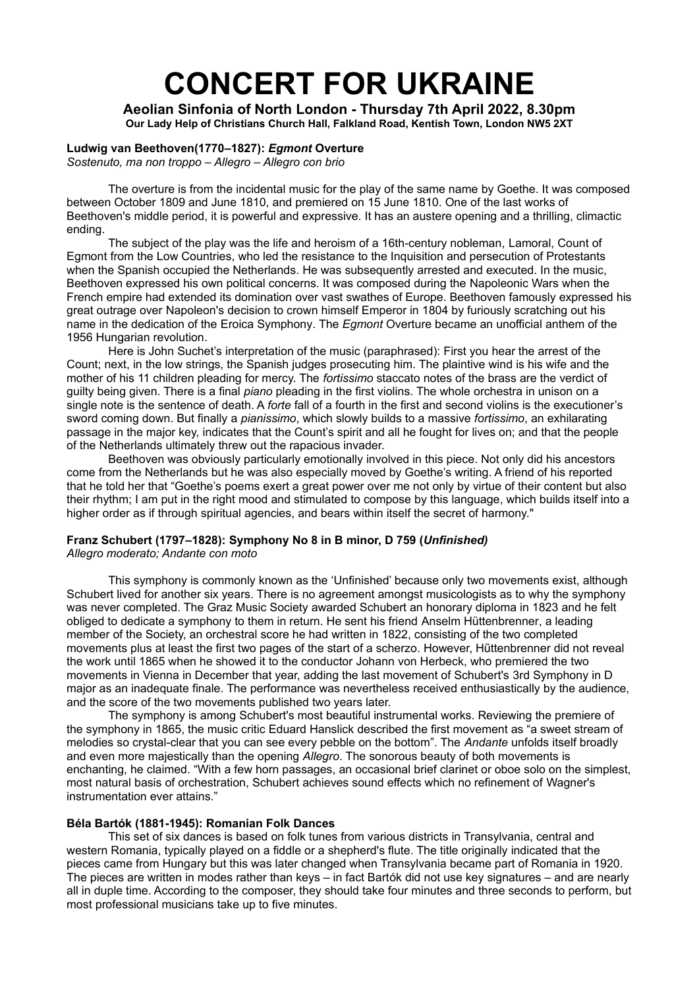# **CONCERT FOR UKRAINE**

**Aeolian Sinfonia of North London - Thursday 7th April 2022, 8.30pm Our Lady Help of Christians Church Hall, Falkland Road, Kentish Town, London NW5 2XT**

## **Ludwig van Beethoven(1770‒1827):** *Egmont* **Overture**

*Sostenuto, ma non troppo – Allegro – Allegro con brio*

The overture is from the [incidental music](https://en.wikipedia.org/wiki/Incidental_music) for the [play of the same name](https://en.wikipedia.org/wiki/Egmont_(play)) by Goethe. It was composed between October 1809 and June 1810, and premiered on 15 June 1810. One of the last works of Beethoven's middle period, it is powerful and expressive. It has an austere opening and a thrilling, climactic ending.

The subject of the play was the life and heroism of a 16th-century nobleman, [Lamoral, Count of](https://en.wikipedia.org/wiki/Lamoral,_Count_of_Egmont)  [Egmont](https://en.wikipedia.org/wiki/Lamoral,_Count_of_Egmont) from the [Low Countries](https://en.wikipedia.org/wiki/Habsburg_Netherlands), who led the resistance to the Inquisition and persecution of Protestants when the Spanish occupied the Netherlands. He was subsequently arrested and executed. In the music, Beethoven expressed his own political concerns. It was composed during the [Napoleonic Wars](https://en.wikipedia.org/wiki/Napoleonic_Wars) when the French empire had extended its domination over vast swathes of Europe. Beethoven famously expressed his great outrage over [Napoleon's](https://en.wikipedia.org/wiki/Napoleon_I) decision to crown himself Emperor in 1804 by furiously scratching out his name in the dedication of the [Eroica Symphony](https://en.wikipedia.org/wiki/Symphony_No._3_(Beethoven)). The *Egmont* Overture became an unofficial anthem of the [1956 Hungarian revolution](https://en.wikipedia.org/wiki/1956_Hungarian_revolution).

Here is John Suchet's interpretation of the music (paraphrased): First you hear the arrest of the Count; next, in the low strings, the Spanish judges prosecuting him. The plaintive wind is his wife and the mother of his 11 children pleading for mercy. The *fortissimo* staccato notes of the brass are the verdict of guilty being given. There is a final *piano* pleading in the first violins. The whole orchestra in unison on a single note is the sentence of death. A *forte* fall of a fourth in the first and second violins is the executioner's sword coming down. But finally a *pianissimo*, which slowly builds to a massive *fortissimo*, an exhilarating passage in the major key, indicates that the Count's spirit and all he fought for lives on; and that the people of the Netherlands ultimately threw out the rapacious invader.

Beethoven was obviously particularly emotionally involved in this piece. Not only did his ancestors come from the Netherlands but he was also especially moved by Goethe's writing. A friend of his reported that he told her that "Goethe's poems exert a great power over me not only by virtue of their content but also their rhythm; I am put in the right mood and stimulated to compose by this language, which builds itself into a higher order as if through spiritual agencies, and bears within itself the secret of harmony."

#### **Franz Schubert (1797‒1828): Symphony No 8 in B minor, D 759 (***Unfinished) Allegro moderato; Andante con moto*

This symphony is commonly known as the 'Unfinished' because only two movements exist, although Schubert lived for another six years. There is no agreement amongst musicologists as to why the symphony was never completed. The Graz Music Society awarded Schubert an honorary diploma in 1823 and he felt obliged to dedicate a symphony to them in return. He sent his friend [Anselm Hüttenbrenner](https://en.wikipedia.org/wiki/Anselm_H%C3%BCttenbrenner), a leading member of the Society, an orchestral score he had written in 1822, consisting of the two completed movements plus at least the first two pages of the start of a scherzo. However, Hűttenbrenner did not reveal the work until 1865 when he showed it to the conductor [Johann von Herbeck](https://en.wikipedia.org/wiki/Johann_von_Herbeck), who premiered the two movements in Vienna in December that year, adding the last movement of Schubert's [3rd Symphony](https://en.wikipedia.org/wiki/Symphony_No._3_(Schubert)) in D major as an inadequate finale. The performance was nevertheless received enthusiastically by the audience, and the score of the two movements published two years later.

The symphony is among Schubert's most beautiful instrumental works. Reviewing the premiere of the symphony in 1865, the music critic Eduard Hanslick described the first movement as "a sweet stream of melodies so crystal-clear that you can see every pebble on the bottom". The *Andante* unfolds itself broadly and even more majestically than the opening *Allegro*. The sonorous beauty of both movements is enchanting, he claimed. "With a few horn passages, an occasional brief clarinet or oboe solo on the simplest, most natural basis of orchestration, Schubert achieves sound effects which no refinement of [Wagner](https://en.wikipedia.org/wiki/Richard_Wagner)'s instrumentation ever attains."

#### **Béla Bartók (1881-1945): Romanian Folk Dances**

This set of six dances is based on folk tunes from various districts in Transylvania, central and western Romania, typically played on a fiddle or a shepherd's flute. The title originally indicated that the pieces came from Hungary but this was later changed when Transylvania became part of Romania in 1920. The pieces are written in modes rather than keys – in fact Bartók did not use key signatures – and are nearly all in duple time. According to the composer, they should take four minutes and three seconds to perform, but most professional musicians take up to five minutes.